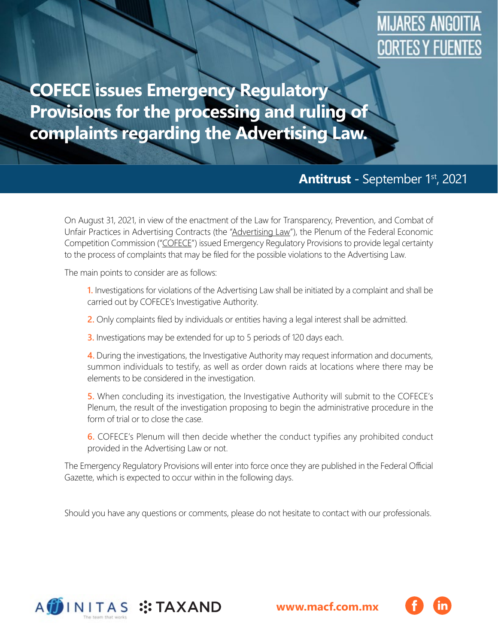## **MIJARES ANGOITIA** CORTES Y FUENTES

**COFECE issues Emergency Regulatory Provisions for the processing and ruling of complaints regarding the Advertising Law.**

## **Antitrust -** September 1st, 2021

On August 31, 2021, in view of the enactment of the Law for Transparency, Prevention, and Combat of Unfair Practices in Advertising Contracts (the "Advertising Law"), the Plenum of the Federal Economic Competition Commission ("COFECE") issued Emergency Regulatory Provisions to provide legal certainty to the process of complaints that may be filed for the possible violations to the Advertising Law.

The main points to consider are as follows:

**1.** Investigations for violations of the Advertising Law shall be initiated by a complaint and shall be carried out by COFECE's Investigative Authority.

**2.** Only complaints filed by individuals or entities having a legal interest shall be admitted.

**3.** Investigations may be extended for up to 5 periods of 120 days each.

**4.** During the investigations, the Investigative Authority may request information and documents, summon individuals to testify, as well as order down raids at locations where there may be elements to be considered in the investigation.

**5.** When concluding its investigation, the Investigative Authority will submit to the COFECE's Plenum, the result of the investigation proposing to begin the administrative procedure in the form of trial or to close the case.

**6.** COFECE's Plenum will then decide whether the conduct typifies any prohibited conduct provided in the Advertising Law or not.

The Emergency Regulatory Provisions will enter into force once they are published in the Federal Official Gazette, which is expected to occur within in the following days.

Should you have any questions or comments, please do not hesitate to contact with our professionals.